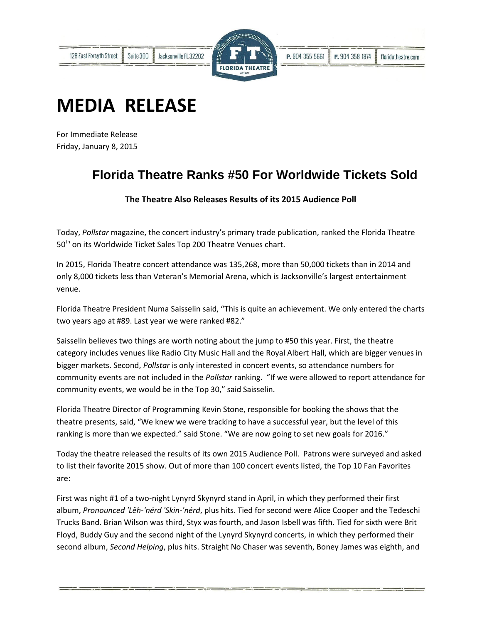

## **MEDIA RELEASE**

For Immediate Release Friday, January 8, 2015

## **Florida Theatre Ranks #50 For Worldwide Tickets Sold**

**The Theatre Also Releases Results of its 2015 Audience Poll**

Today, *Pollstar* magazine, the concert industry's primary trade publication, ranked the Florida Theatre 50<sup>th</sup> on its Worldwide Ticket Sales Top 200 Theatre Venues chart.

In 2015, Florida Theatre concert attendance was 135,268, more than 50,000 tickets than in 2014 and only 8,000 tickets less than Veteran's Memorial Arena, which is Jacksonville's largest entertainment venue.

Florida Theatre President Numa Saisselin said, "This is quite an achievement. We only entered the charts two years ago at #89. Last year we were ranked #82."

Saisselin believes two things are worth noting about the jump to #50 this year. First, the theatre category includes venues like Radio City Music Hall and the Royal Albert Hall, which are bigger venues in bigger markets. Second, *Pollstar* is only interested in concert events, so attendance numbers for community events are not included in the *Pollstar* ranking. "If we were allowed to report attendance for community events, we would be in the Top 30," said Saisselin.

Florida Theatre Director of Programming Kevin Stone, responsible for booking the shows that the theatre presents, said, "We knew we were tracking to have a successful year, but the level of this ranking is more than we expected." said Stone. "We are now going to set new goals for 2016."

Today the theatre released the results of its own 2015 Audience Poll. Patrons were surveyed and asked to list their favorite 2015 show. Out of more than 100 concert events listed, the Top 10 Fan Favorites are:

First was night #1 of a two-night Lynyrd Skynyrd stand in April, in which they performed their first album, *Pronounced 'Lĕh-'nérd 'Skin-'nérd*, plus hits. Tied for second were Alice Cooper and the Tedeschi Trucks Band. Brian Wilson was third, Styx was fourth, and Jason Isbell was fifth. Tied for sixth were Brit Floyd, Buddy Guy and the second night of the Lynyrd Skynyrd concerts, in which they performed their second album, *Second Helping*, plus hits. Straight No Chaser was seventh, Boney James was eighth, and